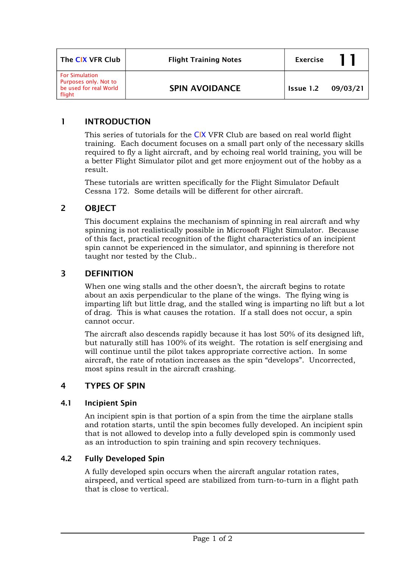| The CIX VFR Club                                                                   | <b>Flight Training Notes</b> | <b>Exercise</b>    |  |
|------------------------------------------------------------------------------------|------------------------------|--------------------|--|
| <b>For Simulation</b><br>Purposes only. Not to<br>be used for real World<br>flight | <b>SPIN AVOIDANCE</b>        | Issue 1.2 09/03/21 |  |

## **1 INTRODUCTION**

This series of tutorials for the CIX VFR Club are based on real world flight training. Each document focuses on a small part only of the necessary skills required to fly a light aircraft, and by echoing real world training, you will be a better Flight Simulator pilot and get more enjoyment out of the hobby as a result.

These tutorials are written specifically for the Flight Simulator Default Cessna 172. Some details will be different for other aircraft.

## **2 OBJECT**

This document explains the mechanism of spinning in real aircraft and why spinning is not realistically possible in Microsoft Flight Simulator. Because of this fact, practical recognition of the flight characteristics of an incipient spin cannot be experienced in the simulator, and spinning is therefore not taught nor tested by the Club..

## **3 DEFINITION**

When one wing stalls and the other doesn't, the aircraft begins to rotate about an axis perpendicular to the plane of the wings. The flying wing is imparting lift but little drag, and the stalled wing is imparting no lift but a lot of drag. This is what causes the rotation. If a stall does not occur, a spin cannot occur.

The aircraft also descends rapidly because it has lost 50% of its designed lift, but naturally still has 100% of its weight. The rotation is self energising and will continue until the pilot takes appropriate corrective action. In some aircraft, the rate of rotation increases as the spin "develops". Uncorrected, most spins result in the aircraft crashing.

## **4 TYPES OF SPIN**

#### **4.1 Incipient Spin**

An incipient spin is that portion of a spin from the time the airplane stalls and rotation starts, until the spin becomes fully developed. An incipient spin that is not allowed to develop into a fully developed spin is commonly used as an introduction to spin training and spin recovery techniques.

#### **4.2 Fully Developed Spin**

A fully developed spin occurs when the aircraft angular rotation rates, airspeed, and vertical speed are stabilized from turn-to-turn in a flight path that is close to vertical.